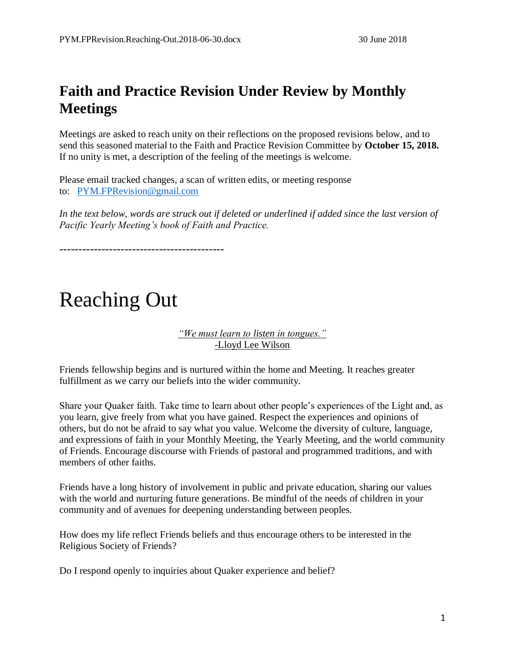## **Faith and Practice Revision Under Review by Monthly Meetings**

Meetings are asked to reach unity on their reflections on the proposed revisions below, and to send this seasoned material to the Faith and Practice Revision Committee by **October 15, 2018.** If no unity is met, a description of the feeling of the meetings is welcome.

Please email tracked changes, a scan of written edits, or meeting response to: [PYM.FPRevision@gmail.com](mailto:PYM.FPRC@gmail.com)

*In the text below, words are struck out if deleted or underlined if added since the last version of Pacific Yearly Meeting's book of Faith and Practice.* 

-------------------------------------------

## Reaching Out

*"We must learn to listen in tongues."* -Lloyd Lee Wilson

Friends fellowship begins and is nurtured within the home and Meeting. It reaches greater fulfillment as we carry our beliefs into the wider community.

Share your Quaker faith. Take time to learn about other people's experiences of the Light and, as you learn, give freely from what you have gained. Respect the experiences and opinions of others, but do not be afraid to say what you value. Welcome the diversity of culture, language, and expressions of faith in your Monthly Meeting, the Yearly Meeting, and the world community of Friends. Encourage discourse with Friends of pastoral and programmed traditions, and with members of other faiths.

Friends have a long history of involvement in public and private education, sharing our values with the world and nurturing future generations. Be mindful of the needs of children in your community and of avenues for deepening understanding between peoples.

How does my life reflect Friends beliefs and thus encourage others to be interested in the Religious Society of Friends?

Do I respond openly to inquiries about Quaker experience and belief?